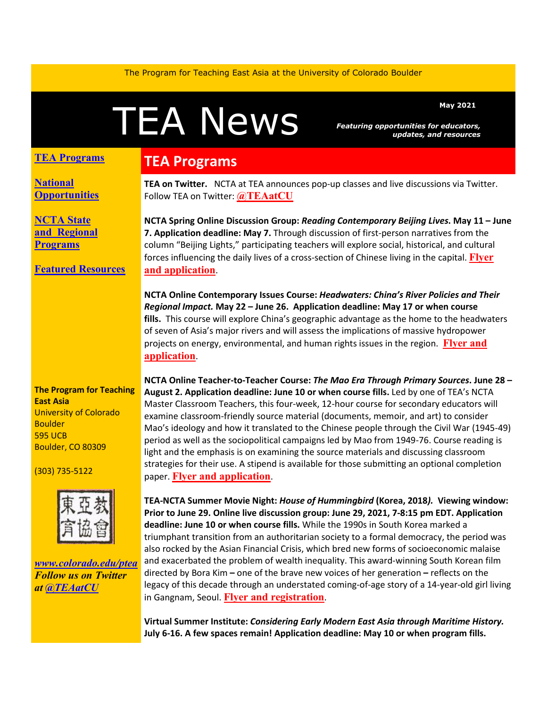The Program for Teaching East Asia at the University of Colorado Boulder

# May 2021<br>Featuring opportunities for educators<br>updates, and resource

*Featuring opportunities for educators, updates, and resources*

#### **TEA Programs**

**[National](#page-1-0)  [Opportunities](#page-1-0)**

**[NCTA State](#page-1-1)  and [Regional](#page-1-1)  [Programs](#page-1-1)**

#### **[Featured Resources](#page-1-2)**

## **TEA Programs**

**TEA on Twitter.** NCTA at TEA announces pop-up classes and live discussions via Twitter. Follow TEA on Twitter: **[@TEAatCU](https://twitter.com/TEAatCU)**

**NCTA Spring Online Discussion Group:** *Reading Contemporary Beijing Lives***. May 11 – June 7. Application deadline: May 7.** Through discussion of first-person narratives from the column "Beijing Lights," participating teachers will explore social, historical, and cultural forces influencing the daily lives of a cross-section of Chinese living in the capital. **[Flyer](https://www.colorado.edu/ptea/sites/default/files/attached-files/beijinglights_courseflyer_0.pdf)  [and application](https://www.colorado.edu/ptea/sites/default/files/attached-files/beijinglights_courseflyer_0.pdf)**.

**NCTA Online Contemporary Issues Course:** *Headwaters: China's River Policies and Their Regional Impact.* **May 22 – June 26. Application deadline: May 17 or when course fills.** This course will explore China's geographic advantage as the home to the headwaters of seven of Asia's major rivers and will assess the implications of massive hydropower projects on energy, environmental, and human rights issues in the region. **[Flyer and](https://www.colorado.edu/ptea/sites/default/files/attached-files/headwatersflyer.pdf)  [application](https://www.colorado.edu/ptea/sites/default/files/attached-files/headwatersflyer.pdf)**.

**The Program for Teaching East Asia** University of Colorado Boulder 595 UCB Boulder, CO 80309

(303) 735-5122



*[www.colorado.edu/ptea](http://www.colorado.edu/cas/tea) Follow us on Twitter at [@TEAatCU](https://twitter.com/TEAatCU)*

**NCTA Online Teacher-to-Teacher Course:** *The Mao Era Through Primary Sources***. June 28 – August 2. Application deadline: June 10 or when course fills.** Led by one of TEA's NCTA Master Classroom Teachers, this four-week, 12-hour course for secondary educators will examine classroom-friendly source material (documents, memoir, and art) to consider Mao's ideology and how it translated to the Chinese people through the Civil War (1945-49) period as well as the sociopolitical campaigns led by Mao from 1949-76. Course reading is light and the emphasis is on examining the source materials and discussing classroom strategies for their use. A stipend is available for those submitting an optional completion paper. **[Flyer and application](https://www.colorado.edu/ptea/sites/default/files/attached-files/maoflyersummer2021.pdf)**.

**TEA-NCTA Summer Movie Night:** *House of Hummingbird* **(Korea, 2018***).* **Viewing window: Prior to June 29. Online live discussion group: June 29, 2021, 7-8:15 pm EDT. Application deadline: June 10 or when course fills.** While the 1990s in South Korea marked a triumphant transition from an authoritarian society to a formal democracy, the period was also rocked by the Asian Financial Crisis, which bred new forms of socioeconomic malaise and exacerbated the problem of wealth inequality. This award-winning South Korean film directed by Bora Kim **–** one of the brave new voices of her generation **–** reflects on the legacy of this decade through an understated coming-of-age story of a 14-year-old girl living in Gangnam, Seoul. **[Flyer and registration](https://www.colorado.edu/ptea/sites/default/files/attached-files/hummingbirdflyer2021.pdf)**.

**Virtual Summer Institute:** *Considering Early Modern East Asia through Maritime History.* **July 6-16. A few spaces remain! Application deadline: May 10 or when program fills.**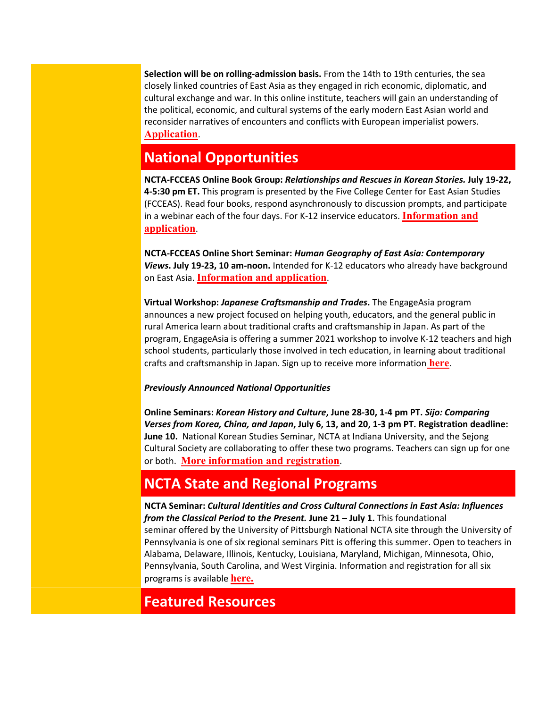**Selection will be on rolling-admission basis.** From the 14th to 19th centuries, the sea closely linked countries of East Asia as they engaged in rich economic, diplomatic, and cultural exchange and war. In this online institute, teachers will gain an understanding of the political, economic, and cultural systems of the early modern East Asian world and reconsider narratives of encounters and conflicts with European imperialist powers. **[Application](https://www.colorado.edu/ptea/sites/default/files/attached-files/si2021application.pdf)**.

## <span id="page-1-0"></span>**National Opportunities**

**NCTA-FCCEAS Online Book Group:** *Relationships and Rescues in Korean Stories.* **July 19-22, 4-5:30 pm ET.** This program is presented by the Five College Center for East Asian Studies (FCCEAS). Read four books, respond asynchronously to discussion prompts, and participate in a webinar each of the four days. For K-12 inservice educators. **[Information and](https://www.fivecolleges.edu/fcceas/ncta/korean-stories)  [application](https://www.fivecolleges.edu/fcceas/ncta/korean-stories)**.

**NCTA-FCCEAS Online Short Seminar:** *Human Geography of East Asia: Contemporary Views***. July 19-23, 10 am-noon.** Intended for K-12 educators who already have background on East Asia. **[Information and application](https://www.fivecolleges.edu/fcceas/ncta/2021-july-online-short-seminar)**.

**Virtual Workshop:** *Japanese Craftsmanship and Trades***.** The EngageAsia program announces a new project focused on helping youth, educators, and the general public in rural America learn about traditional crafts and craftsmanship in Japan. As part of the program, EngageAsia is offering a summer 2021 workshop to involve K-12 teachers and high school students, particularly those involved in tech education, in learning about traditional crafts and craftsmanship in Japan. Sign up to receive more information **[here](https://www.surveymonkey.com/r/2021JapanCrafts)**.

#### *Previously Announced National Opportunities*

**Online Seminars:** *Korean History and Culture***, June 28-30, 1-4 pm PT.** *Sijo: Comparing Verses from Korea, China, and Japan***, July 6, 13, and 20, 1-3 pm PT. Registration deadline: June 10.** National Korean Studies Seminar, NCTA at Indiana University, and the Sejong Cultural Society are collaborating to offer these two programs. Teachers can sign up for one or both. **[More information and registration](https://docs.google.com/document/d/1nnqj-iA48I4ZUFj_eWm-S8HvyVOy7zoxEhLiRem9wTU/edit)**.

## <span id="page-1-1"></span>**NCTA State and Regional Programs**

**NCTA Seminar:** *Cultural Identities and Cross Cultural Connections in East Asia: Influences from the Classical Period to the Present.* **June 21 – July 1.** This foundational seminar offered by the University of Pittsburgh National NCTA site through the University of Pennsylvania is one of six regional seminars Pitt is offering this summer. Open to teachers in Alabama, Delaware, Illinois, Kentucky, Louisiana, Maryland, Michigan, Minnesota, Ohio, Pennsylvania, South Carolina, and West Virginia. Information and registration for all six programs is available **[here.](https://www.ucis.pitt.edu/ncta/ncta-summer-seminars)**

### <span id="page-1-2"></span>**Featured Resources**